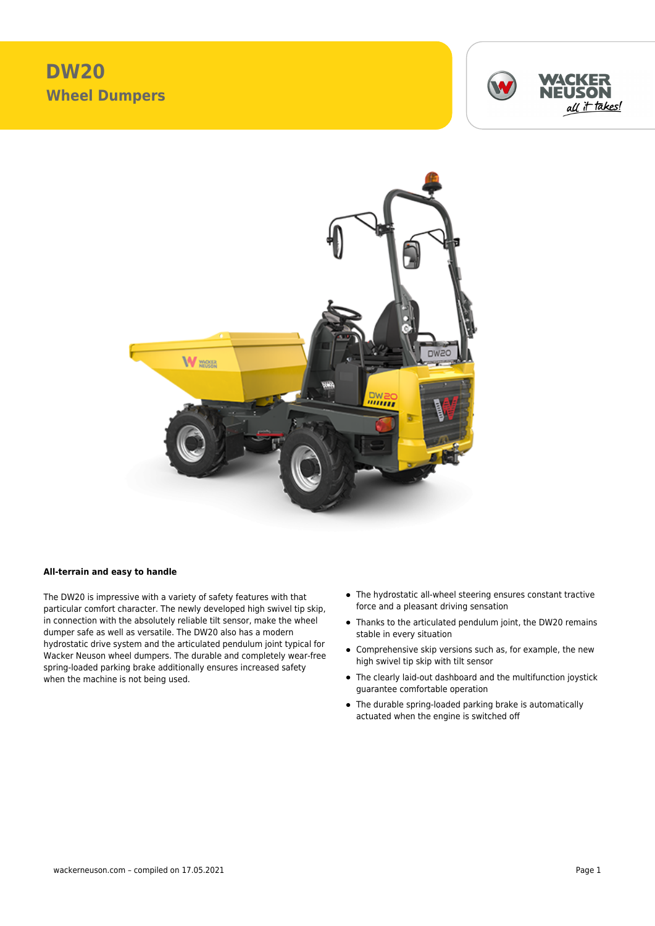## **DW20 Wheel Dumpers**





## **All-terrain and easy to handle**

The DW20 is impressive with a variety of safety features with that particular comfort character. The newly developed high swivel tip skip, in connection with the absolutely reliable tilt sensor, make the wheel dumper safe as well as versatile. The DW20 also has a modern hydrostatic drive system and the articulated pendulum joint typical for Wacker Neuson wheel dumpers. The durable and completely wear-free spring-loaded parking brake additionally ensures increased safety when the machine is not being used.

- The hydrostatic all-wheel steering ensures constant tractive force and a pleasant driving sensation
- Thanks to the articulated pendulum joint, the DW20 remains stable in every situation
- Comprehensive skip versions such as, for example, the new high swivel tip skip with tilt sensor
- The clearly laid-out dashboard and the multifunction joystick guarantee comfortable operation
- The durable spring-loaded parking brake is automatically actuated when the engine is switched off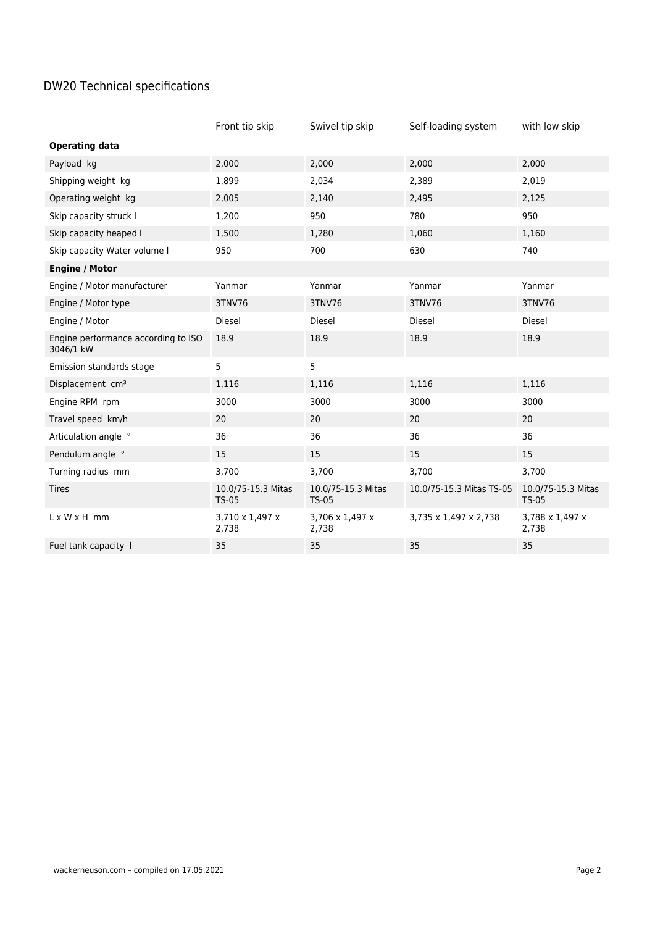## DW20 Technical specifications

|                                                  | Front tip skip                     | Swivel tip skip                    | Self-loading system      | with low skip                      |
|--------------------------------------------------|------------------------------------|------------------------------------|--------------------------|------------------------------------|
| <b>Operating data</b>                            |                                    |                                    |                          |                                    |
| Payload kg                                       | 2,000                              | 2,000                              | 2,000                    | 2,000                              |
| Shipping weight kg                               | 1,899                              | 2,034                              | 2,389                    | 2,019                              |
| Operating weight kg                              | 2,005                              | 2,140                              | 2,495                    | 2,125                              |
| Skip capacity struck I                           | 1,200                              | 950                                | 780                      | 950                                |
| Skip capacity heaped I                           | 1,500                              | 1,280                              | 1,060                    | 1,160                              |
| Skip capacity Water volume I                     | 950                                | 700                                | 630                      | 740                                |
| <b>Engine / Motor</b>                            |                                    |                                    |                          |                                    |
| Engine / Motor manufacturer                      | Yanmar                             | Yanmar                             | Yanmar                   | Yanmar                             |
| Engine / Motor type                              | 3TNV76                             | 3TNV76                             | 3TNV76                   | 3TNV76                             |
| Engine / Motor                                   | <b>Diesel</b>                      | <b>Diesel</b>                      | <b>Diesel</b>            | <b>Diesel</b>                      |
| Engine performance according to ISO<br>3046/1 kW | 18.9                               | 18.9                               | 18.9                     | 18.9                               |
| Emission standards stage                         | 5                                  | 5                                  |                          |                                    |
| Displacement cm <sup>3</sup>                     | 1,116                              | 1,116                              | 1,116                    | 1,116                              |
| Engine RPM rpm                                   | 3000                               | 3000                               | 3000                     | 3000                               |
| Travel speed km/h                                | 20                                 | 20                                 | 20                       | 20                                 |
| Articulation angle °                             | 36                                 | 36                                 | 36                       | 36                                 |
| Pendulum angle °                                 | 15                                 | 15                                 | 15                       | 15                                 |
| Turning radius mm                                | 3,700                              | 3,700                              | 3,700                    | 3,700                              |
| <b>Tires</b>                                     | 10.0/75-15.3 Mitas<br><b>TS-05</b> | 10.0/75-15.3 Mitas<br><b>TS-05</b> | 10.0/75-15.3 Mitas TS-05 | 10.0/75-15.3 Mitas<br><b>TS-05</b> |
| $L \times W \times H$ mm                         | 3,710 x 1,497 x<br>2,738           | 3,706 x 1,497 x<br>2,738           | 3,735 x 1,497 x 2,738    | 3,788 x 1,497 x<br>2,738           |
| Fuel tank capacity 1                             | 35                                 | 35                                 | 35                       | 35                                 |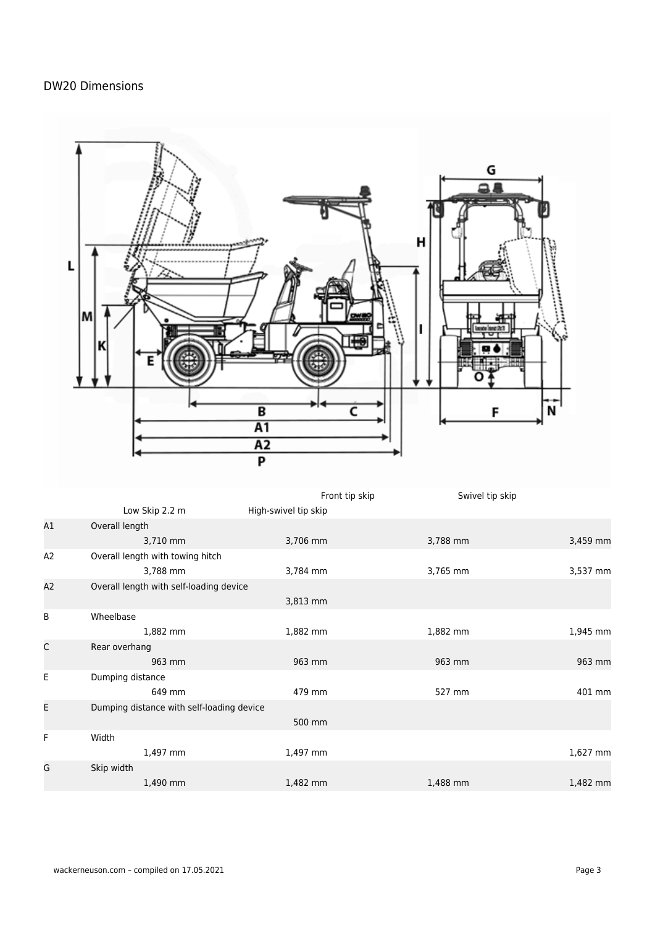## DW20 Dimensions



| B  | Wheelbase                                 |          |          |          |
|----|-------------------------------------------|----------|----------|----------|
|    | 1,882 mm                                  | 1,882 mm | 1,882 mm | 1,945 mm |
| C  | Rear overhang                             |          |          |          |
|    | 963 mm                                    | 963 mm   | 963 mm   | 963 mm   |
| E  | Dumping distance                          |          |          |          |
|    | 649 mm                                    | 479 mm   | 527 mm   | 401 mm   |
| E. | Dumping distance with self-loading device |          |          |          |
|    |                                           | 500 mm   |          |          |
| F  | Width                                     |          |          |          |
|    | 1,497 mm                                  | 1,497 mm |          | 1,627 mm |
| G  | Skip width                                |          |          |          |
|    | 1,490 mm                                  | 1,482 mm | 1,488 mm | 1,482 mm |